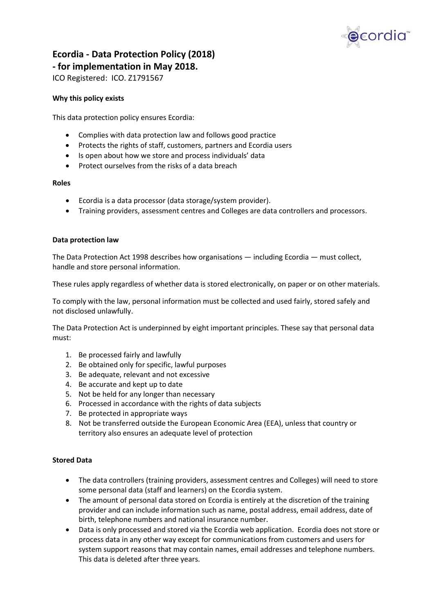

# Ecordia - Data Protection Policy (2018)

- for implementation in May 2018.

ICO Registered: ICO. Z1791567

## Why this policy exists

This data protection policy ensures Ecordia:

- Complies with data protection law and follows good practice
- Protects the rights of staff, customers, partners and Ecordia users
- Is open about how we store and process individuals' data
- Protect ourselves from the risks of a data breach

## Roles

- Ecordia is a data processor (data storage/system provider).
- Training providers, assessment centres and Colleges are data controllers and processors.

## Data protection law

The Data Protection Act 1998 describes how organisations — including Ecordia — must collect, handle and store personal information.

These rules apply regardless of whether data is stored electronically, on paper or on other materials.

To comply with the law, personal information must be collected and used fairly, stored safely and not disclosed unlawfully.

The Data Protection Act is underpinned by eight important principles. These say that personal data must:

- 1. Be processed fairly and lawfully
- 2. Be obtained only for specific, lawful purposes
- 3. Be adequate, relevant and not excessive
- 4. Be accurate and kept up to date
- 5. Not be held for any longer than necessary
- 6. Processed in accordance with the rights of data subjects
- 7. Be protected in appropriate ways
- 8. Not be transferred outside the European Economic Area (EEA), unless that country or territory also ensures an adequate level of protection

## Stored Data

- The data controllers (training providers, assessment centres and Colleges) will need to store some personal data (staff and learners) on the Ecordia system.
- The amount of personal data stored on Ecordia is entirely at the discretion of the training provider and can include information such as name, postal address, email address, date of birth, telephone numbers and national insurance number.
- Data is only processed and stored via the Ecordia web application. Ecordia does not store or process data in any other way except for communications from customers and users for system support reasons that may contain names, email addresses and telephone numbers. This data is deleted after three years.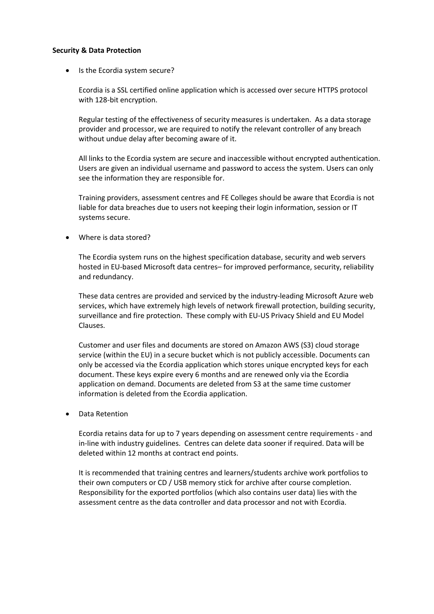#### Security & Data Protection

• Is the Ecordia system secure?

Ecordia is a SSL certified online application which is accessed over secure HTTPS protocol with 128-bit encryption.

Regular testing of the effectiveness of security measures is undertaken. As a data storage provider and processor, we are required to notify the relevant controller of any breach without undue delay after becoming aware of it.

All links to the Ecordia system are secure and inaccessible without encrypted authentication. Users are given an individual username and password to access the system. Users can only see the information they are responsible for.

Training providers, assessment centres and FE Colleges should be aware that Ecordia is not liable for data breaches due to users not keeping their login information, session or IT systems secure.

Where is data stored?

The Ecordia system runs on the highest specification database, security and web servers hosted in EU-based Microsoft data centres– for improved performance, security, reliability and redundancy.

These data centres are provided and serviced by the industry-leading Microsoft Azure web services, which have extremely high levels of network firewall protection, building security, surveillance and fire protection. These comply with EU-US Privacy Shield and EU Model Clauses.

Customer and user files and documents are stored on Amazon AWS (S3) cloud storage service (within the EU) in a secure bucket which is not publicly accessible. Documents can only be accessed via the Ecordia application which stores unique encrypted keys for each document. These keys expire every 6 months and are renewed only via the Ecordia application on demand. Documents are deleted from S3 at the same time customer information is deleted from the Ecordia application.

Data Retention

Ecordia retains data for up to 7 years depending on assessment centre requirements - and in-line with industry guidelines. Centres can delete data sooner if required. Data will be deleted within 12 months at contract end points.

It is recommended that training centres and learners/students archive work portfolios to their own computers or CD / USB memory stick for archive after course completion. Responsibility for the exported portfolios (which also contains user data) lies with the assessment centre as the data controller and data processor and not with Ecordia.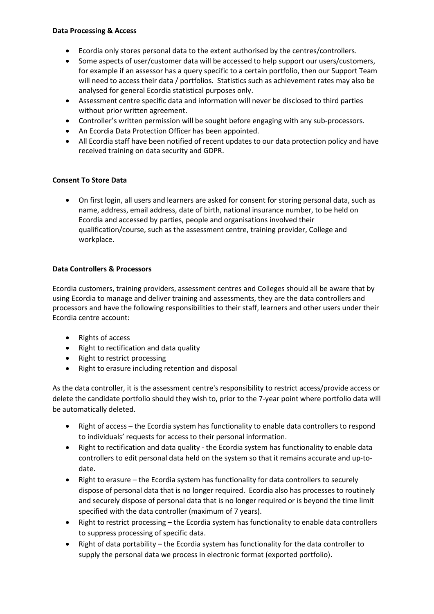#### Data Processing & Access

- Ecordia only stores personal data to the extent authorised by the centres/controllers.
- Some aspects of user/customer data will be accessed to help support our users/customers, for example if an assessor has a query specific to a certain portfolio, then our Support Team will need to access their data / portfolios. Statistics such as achievement rates may also be analysed for general Ecordia statistical purposes only.
- Assessment centre specific data and information will never be disclosed to third parties without prior written agreement.
- Controller's written permission will be sought before engaging with any sub-processors.
- An Ecordia Data Protection Officer has been appointed.
- All Ecordia staff have been notified of recent updates to our data protection policy and have received training on data security and GDPR.

## Consent To Store Data

 On first login, all users and learners are asked for consent for storing personal data, such as name, address, email address, date of birth, national insurance number, to be held on Ecordia and accessed by parties, people and organisations involved their qualification/course, such as the assessment centre, training provider, College and workplace.

# Data Controllers & Processors

Ecordia customers, training providers, assessment centres and Colleges should all be aware that by using Ecordia to manage and deliver training and assessments, they are the data controllers and processors and have the following responsibilities to their staff, learners and other users under their Ecordia centre account:

- Rights of access
- Right to rectification and data quality
- Right to restrict processing
- Right to erasure including retention and disposal

As the data controller, it is the assessment centre's responsibility to restrict access/provide access or delete the candidate portfolio should they wish to, prior to the 7-year point where portfolio data will be automatically deleted.

- Right of access the Ecordia system has functionality to enable data controllers to respond to individuals' requests for access to their personal information.
- Right to rectification and data quality the Ecordia system has functionality to enable data controllers to edit personal data held on the system so that it remains accurate and up-todate.
- Right to erasure the Ecordia system has functionality for data controllers to securely dispose of personal data that is no longer required. Ecordia also has processes to routinely and securely dispose of personal data that is no longer required or is beyond the time limit specified with the data controller (maximum of 7 years).
- Right to restrict processing the Ecordia system has functionality to enable data controllers to suppress processing of specific data.
- Right of data portability the Ecordia system has functionality for the data controller to supply the personal data we process in electronic format (exported portfolio).